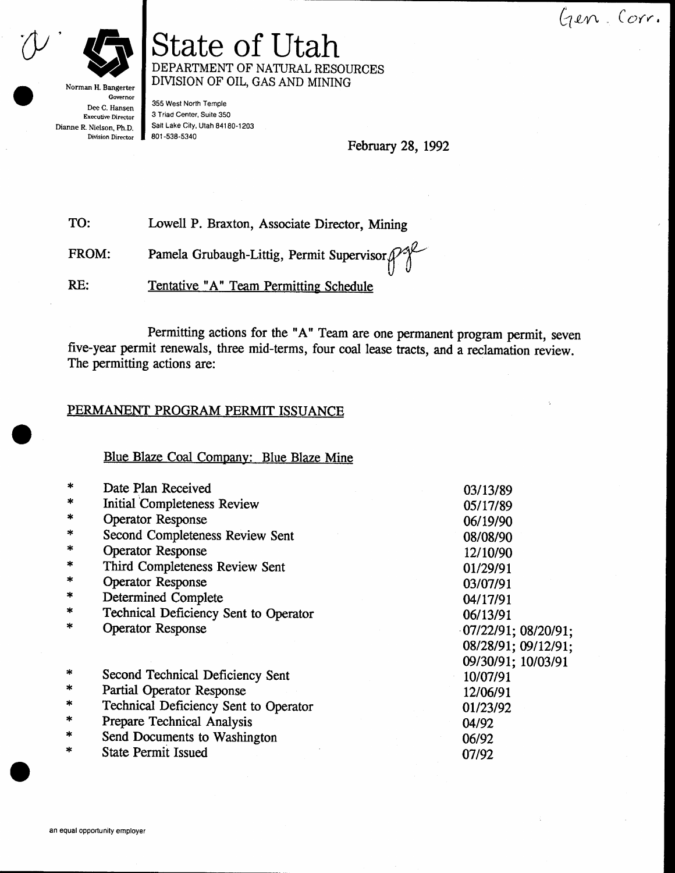Gen Corr.



Norman H. Bangerter Governor Dee C. Hansen Executive Director Dianne R. Nielson, Ph.D. Division Director

# State of Utah DEPARTMENT OF NATURAL RESOURCES DIVISION OF OIL, GAS AND MINING

355 West North Temple 3 Triad Center, Suite 350 Salt Lake City, Utah 84180-1203 801 -538-5340

February 28, 1992

TO: Lowell P. Braxton, Associate Director, Mining

FROM: Pamela Grubaugh-Littig, Permit Supervisor  $\beta$ 

RE: Tentative "A" Team Permitting Schedule

five-year permit renewals, three mid-terms, four coal lease ffacts, and a reclamation review. The permitting actions are: Permitting actions for the "A" Team are one permanent program permit, seven

#### PERMANENT PROGRAM PERMIT ISSUANCE

Blue Blaze Coal Company: Blue Blaze Mine

| $\ast$ | Date Plan Received                    | 03/13/89            |
|--------|---------------------------------------|---------------------|
| $\ast$ | <b>Initial Completeness Review</b>    | 05/17/89            |
| $\ast$ | <b>Operator Response</b>              | 06/19/90            |
| $\ast$ | Second Completeness Review Sent       | 08/08/90            |
| *      | <b>Operator Response</b>              | 12/10/90            |
| ∗      | Third Completeness Review Sent        | 01/29/91            |
| *      | Operator Response                     | 03/07/91            |
| $\ast$ | <b>Determined Complete</b>            | 04/17/91            |
| $\ast$ | Technical Deficiency Sent to Operator | 06/13/91            |
| $\ast$ | <b>Operator Response</b>              | 07/22/91; 08/20/91; |
|        |                                       | 08/28/91; 09/12/91; |
|        |                                       | 09/30/91; 10/03/91  |
| *      | Second Technical Deficiency Sent      | 10/07/91            |
| $\ast$ | Partial Operator Response             | 12/06/91            |
| $\ast$ | Technical Deficiency Sent to Operator | 01/23/92            |
| $\ast$ | Prepare Technical Analysis            | 04/92               |
| $\ast$ | Send Documents to Washington          | 06/92               |
| $\ast$ | <b>State Permit Issued</b>            | 07/92               |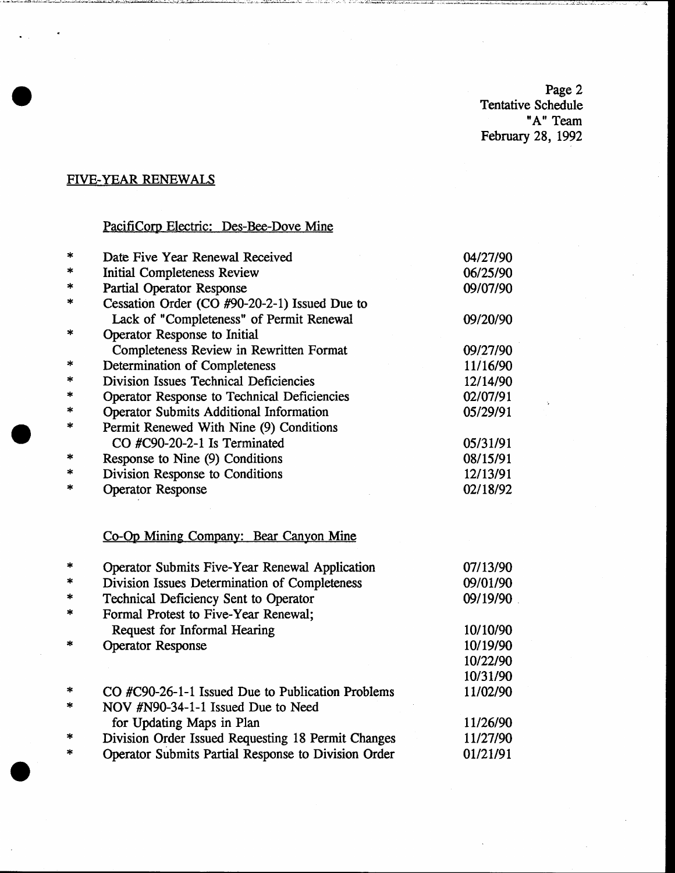Page 2 Tentative Schedule "A" Team February 28, 1992

# FIVE-YEAR RENEWALS

# PacifiCorp Electric: Des-Bee-Dove Mine

| $\ast$ | Date Five Year Renewal Received<br>04/27/90         |          |
|--------|-----------------------------------------------------|----------|
| *      | <b>Initial Completeness Review</b><br>06/25/90      |          |
| *      | Partial Operator Response                           | 09/07/90 |
| *      | Cessation Order (CO #90-20-2-1) Issued Due to       |          |
|        | Lack of "Completeness" of Permit Renewal            | 09/20/90 |
| ∗      | Operator Response to Initial                        |          |
|        | Completeness Review in Rewritten Format             | 09/27/90 |
| *      | <b>Determination of Completeness</b>                | 11/16/90 |
| ∗      | Division Issues Technical Deficiencies              | 12/14/90 |
| *      | Operator Response to Technical Deficiencies         | 02/07/91 |
| ∗      | <b>Operator Submits Additional Information</b>      | 05/29/91 |
| *      | Permit Renewed With Nine (9) Conditions             |          |
|        | CO #C90-20-2-1 Is Terminated                        | 05/31/91 |
| ×      | Response to Nine (9) Conditions                     | 08/15/91 |
| *      | Division Response to Conditions                     | 12/13/91 |
| ×      | <b>Operator Response</b>                            | 02/18/92 |
|        |                                                     |          |
|        | Co-Op Mining Company: Bear Canyon Mine              |          |
| *      | Operator Submits Five-Year Renewal Application      | 07/13/90 |
| *      | Division Issues Determination of Completeness       | 09/01/90 |
| *      | Technical Deficiency Sent to Operator               | 09/19/90 |
| *      | Formal Protest to Five-Year Renewal;                |          |
|        | Request for Informal Hearing                        | 10/10/90 |
| *      | <b>Operator Response</b>                            | 10/19/90 |
|        |                                                     | 10/22/90 |
|        |                                                     | 10/31/90 |
| *      | CO #C90-26-1-1 Issued Due to Publication Problems   | 11/02/90 |
| ∗      | NOV #N90-34-1-1 Issued Due to Need                  |          |
|        | for Updating Maps in Plan                           | 11/26/90 |
|        | Division Order Issued Requesting 18 Permit Changes  | 11/27/90 |
| $\ast$ | Operator Submits Partial Response to Division Order | 01/21/91 |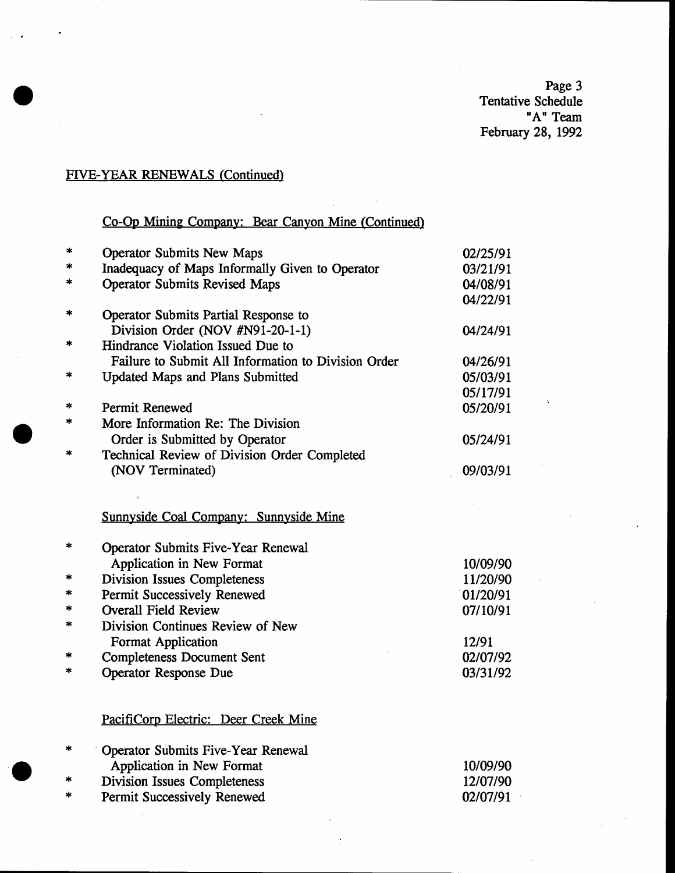Page 3<br>Tentative Schedule<br>"A" Team February 28, 1992

# FIVE-YEAR RENEWALS (Continued)

# Co-Op Mining Company: Bear Canyon Mine (Continued)

| $\ast$ | <b>Operator Submits New Maps</b>                            | 02/25/91 |
|--------|-------------------------------------------------------------|----------|
| ×      | Inadequacy of Maps Informally Given to Operator<br>03/21/91 |          |
|        | <b>Operator Submits Revised Maps</b>                        | 04/08/91 |
|        |                                                             | 04/22/91 |
| $\ast$ | Operator Submits Partial Response to                        |          |
|        | Division Order (NOV #N91-20-1-1)                            | 04/24/91 |
| *      | Hindrance Violation Issued Due to                           |          |
|        | Failure to Submit All Information to Division Order         | 04/26/91 |
| *      | <b>Updated Maps and Plans Submitted</b>                     | 05/03/91 |
|        |                                                             | 05/17/91 |
| *      | Permit Renewed                                              | 05/20/91 |
| *      | More Information Re: The Division                           |          |
|        | Order is Submitted by Operator                              | 05/24/91 |
| $\ast$ | Technical Review of Division Order Completed                |          |
|        | (NOV Terminated)                                            | 09/03/91 |
|        |                                                             |          |
|        |                                                             |          |
|        | Sunnyside Coal Company: Sunnyside Mine                      |          |
| ∗      | <b>Operator Submits Five-Year Renewal</b>                   |          |
|        | Application in New Format                                   | 10/09/90 |
| *      | <b>Division Issues Completeness</b>                         | 11/20/90 |
| ÷.     | Permit Successively Renewed                                 | 01/20/91 |
| $\ast$ | <b>Overall Field Review</b>                                 | 07/10/91 |
| *      | Division Continues Review of New                            |          |
|        | <b>Format Application</b>                                   | 12/91    |
| *      | <b>Completeness Document Sent</b>                           | 02/07/92 |
| *      | Operator Response Due                                       | 03/31/92 |
|        |                                                             |          |
|        |                                                             |          |
|        | PacifiCorp Electric: Deer Creek Mine                        |          |
| ∗      | <b>Operator Submits Five-Year Renewal</b>                   |          |
|        | Application in New Format                                   | 10/09/90 |
|        | <b>Division Issues Completeness</b>                         | 12/07/90 |
| эk     | Permit Successively Renewed                                 | 02/07/91 |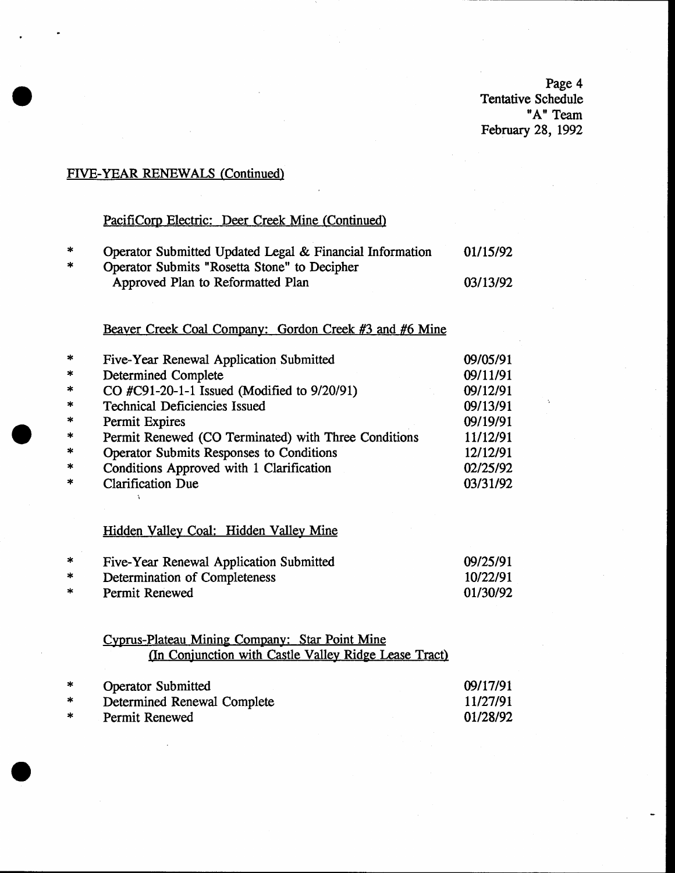Page 4 Tentative Schedule "A" Team February 28, 1992

# FIVE-YEAR RENEWALS (Continued)

# PacifiCorp Electric: Deer Creek Mine (Continued)

| ∗      | Operator Submitted Updated Legal & Financial Information | 01/15/92 |
|--------|----------------------------------------------------------|----------|
| $\ast$ | Operator Submits "Rosetta Stone" to Decipher             |          |
|        | Approved Plan to Reformatted Plan                        | 03/13/92 |
|        |                                                          |          |

# Beaver Creek Coal Company: Gordon Creek #3 and #6 Mine

| $\ast$  | Five-Year Renewal Application Submitted              | 09/05/91 |
|---------|------------------------------------------------------|----------|
| $\ast$  | <b>Determined Complete</b>                           | 09/11/91 |
| $\ast$  | CO #C91-20-1-1 Issued (Modified to 9/20/91)          | 09/12/91 |
| $\ast$  | <b>Technical Deficiencies Issued</b>                 | 09/13/91 |
| $\ast$  | Permit Expires                                       | 09/19/91 |
| $\ast$  | Permit Renewed (CO Terminated) with Three Conditions | 11/12/91 |
| $\star$ | Operator Submits Responses to Conditions             | 12/12/91 |
| $\star$ | Conditions Approved with 1 Clarification             | 02/25/92 |
| $\ast$  | <b>Clarification Due</b>                             | 03/31/92 |

# Hidden Valley Coal: Hidden Valley Mine

 $\mathbf{r}$ 

| *  | Five-Year Renewal Application Submitted | 09/25/91 |
|----|-----------------------------------------|----------|
| *  | Determination of Completeness           | 10/22/91 |
| ∗. | Permit Renewed                          | 01/30/92 |

### Cyprus-Plateau Mining Company: Star Point Mine (In Conjunction with Castle Valley Ridge Lease Tract)

| $\ast$ | <b>Operator Submitted</b>   | 09/17/91 |
|--------|-----------------------------|----------|
| *      | Determined Renewal Complete | 11/27/91 |
| *      | Permit Renewed              | 01/28/92 |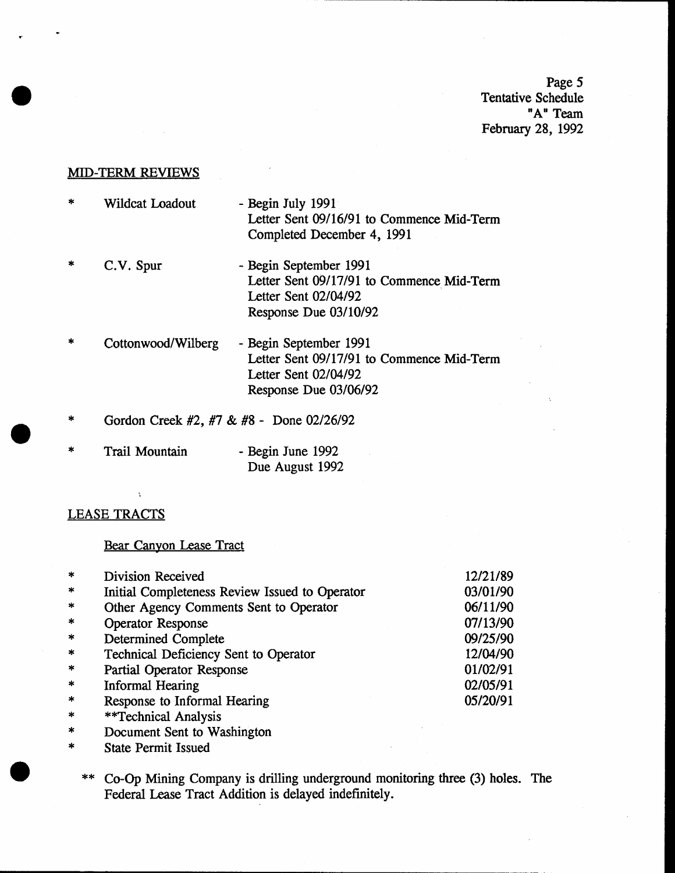Page 5 Tentative Schedule nA" Team February 28, 1992

#### **MID-TERM REVIEWS**

- Wildcat Loadout Begin July 1991 Letter Sent 09/16/91 to Commence Mid-Term Completed December 4, 1991
- Begin September 1991 Letter Sent 09/17/91 to Commence Mid-Term Letter Sent 02/04/92 Response Due 03/10/92 C.V. Spur
- Begin September 1991 Letter Sent 09/17/91 to Commence Mid-Term Letter Sent 02/04/92 Response Due 03/06/92 Cottonwood/Wilberg
- Gordon Creek #2, #7 & #8 Done 02/26/92
- Trail Mountain Begin June 1992 Due August 1992

#### LEASE TRACTS

#### Bear Canyon Lease Tract

| $\ast$  | Division Received                              | 12/21/89 |
|---------|------------------------------------------------|----------|
| $\ast$  | Initial Completeness Review Issued to Operator | 03/01/90 |
| $\ast$  | Other Agency Comments Sent to Operator         | 06/11/90 |
| $\ast$  | <b>Operator Response</b>                       | 07/13/90 |
| $\star$ | <b>Determined Complete</b>                     | 09/25/90 |
| $\ast$  | Technical Deficiency Sent to Operator          | 12/04/90 |
| $\star$ | Partial Operator Response                      | 01/02/91 |
| $\ast$  | <b>Informal Hearing</b>                        | 02/05/91 |
| $\ast$  | Response to Informal Hearing                   | 05/20/91 |
|         |                                                |          |

- 
- \* Fechnical Analysis<br>Document Sent to Washington<br>State Permit Issued
- - \*\* Co-Op Mining Company is drilling underground monitoring three (3) holes. The Federal Lease Tract Addition is delayed indefinitely,